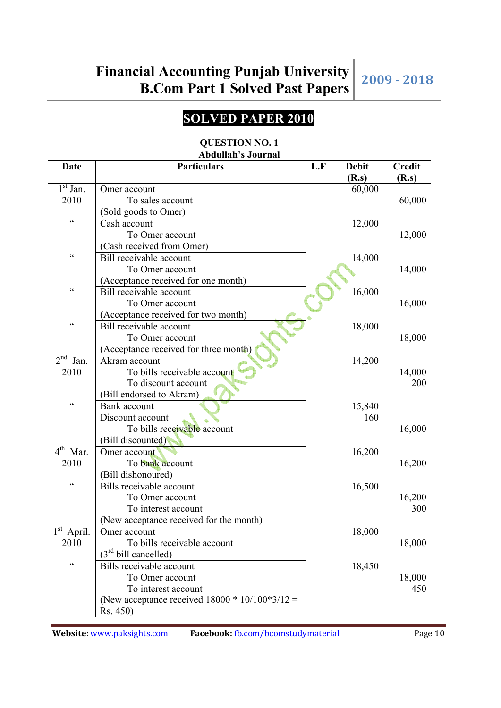### **SOLVED PAPER 2010**

| <b>QUESTION NO. 1</b>   |                                                    |     |              |               |  |  |
|-------------------------|----------------------------------------------------|-----|--------------|---------------|--|--|
|                         | <b>Abdullah's Journal</b>                          |     |              |               |  |  |
| <b>Date</b>             | <b>Particulars</b>                                 | L.F | <b>Debit</b> | <b>Credit</b> |  |  |
|                         |                                                    |     | (R.s)        | (R.s)         |  |  |
| $1st$ Jan.              | Omer account                                       |     | 60,000       |               |  |  |
| 2010                    | To sales account                                   |     |              | 60,000        |  |  |
|                         | (Sold goods to Omer)                               |     |              |               |  |  |
| $\zeta$ $\zeta$         | Cash account                                       |     | 12,000       |               |  |  |
|                         | To Omer account                                    |     |              | 12,000        |  |  |
|                         | (Cash received from Omer)                          |     |              |               |  |  |
| $\zeta\,\zeta$          | Bill receivable account                            |     | 14,000       |               |  |  |
|                         | To Omer account                                    |     |              | 14,000        |  |  |
|                         | (Acceptance received for one month)                |     |              |               |  |  |
| $\zeta$ $\zeta$         | Bill receivable account                            |     | 16,000       |               |  |  |
|                         | To Omer account                                    |     |              | 16,000        |  |  |
|                         | (Acceptance received for two month)                |     |              |               |  |  |
| $\zeta\,\zeta$          | Bill receivable account                            |     | 18,000       |               |  |  |
|                         | To Omer account                                    |     |              | 18,000        |  |  |
|                         | (Acceptance received for three month)              |     |              |               |  |  |
| 2 <sup>nd</sup><br>Jan. | Akram account                                      |     | 14,200       |               |  |  |
| 2010                    | To bills receivable account                        |     |              | 14,000        |  |  |
|                         | To discount account                                |     |              | 200           |  |  |
|                         | (Bill endorsed to Akram)                           |     |              |               |  |  |
| $\zeta$ $\zeta$         | Bank account                                       |     | 15,840       |               |  |  |
|                         | Discount account                                   |     | 160          |               |  |  |
|                         | To bills receivable account                        |     |              | 16,000        |  |  |
|                         | (Bill discounted)                                  |     |              |               |  |  |
| $4th$ Mar.              | Omer account                                       |     | 16,200       |               |  |  |
| 2010                    | To bank account                                    |     |              | 16,200        |  |  |
|                         | (Bill dishonoured)                                 |     |              |               |  |  |
| $\zeta$ $\zeta$         | Bills receivable account                           |     | 16,500       |               |  |  |
|                         | To Omer account                                    |     |              | 16,200        |  |  |
|                         | To interest account                                |     |              | 300           |  |  |
|                         | (New acceptance received for the month)            |     |              |               |  |  |
| $1st$ April.            | Omer account                                       |     | 18,000       |               |  |  |
| 2010                    | To bills receivable account                        |     |              | 18,000        |  |  |
|                         | $(3rd$ bill cancelled)                             |     |              |               |  |  |
| $\zeta\,\zeta$          | Bills receivable account                           |     | 18,450       |               |  |  |
|                         | To Omer account                                    |     |              | 18,000        |  |  |
|                         | To interest account                                |     |              | 450           |  |  |
|                         | (New acceptance received $18000 * 10/100 * 3/12 =$ |     |              |               |  |  |
|                         | Rs. 450)                                           |     |              |               |  |  |
|                         |                                                    |     |              |               |  |  |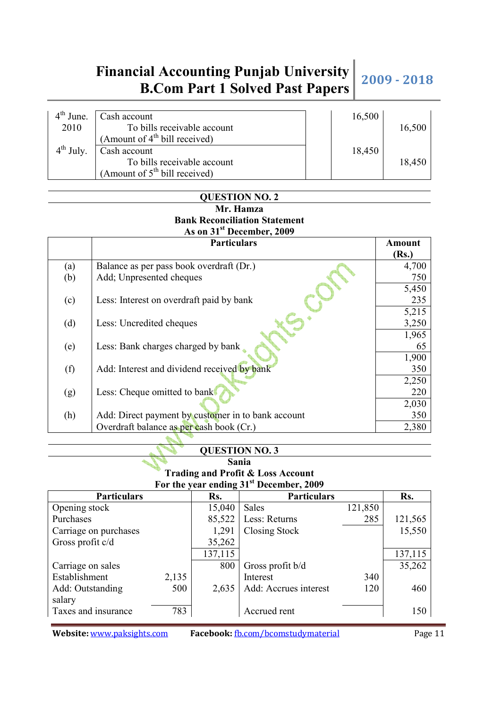| $4th$ June.   | Cash account                    | 16,500 |        |
|---------------|---------------------------------|--------|--------|
| 2010          | To bills receivable account     |        | 16,500 |
|               | (Amount of $4th$ bill received) |        |        |
| $4^{th}$ July | Cash account                    | 18,450 |        |
|               | To bills receivable account     |        | 18,450 |
|               | (Amount of $5th$ bill received) |        |        |

#### **QUESTION NO. 2 Mr. Hamza Bank Reconciliation Statement As on 31st December, 2009**

|     | <b>Particulars</b>                                 | <b>Amount</b> |
|-----|----------------------------------------------------|---------------|
|     |                                                    | (Rs.)         |
| (a) | Balance as per pass book overdraft (Dr.)           | 4,700         |
| (b) | Add; Unpresented cheques                           | 750           |
|     |                                                    | 5,450         |
| (c) | Less: Interest on overdraft paid by bank           | 235           |
|     |                                                    | 5,215         |
| (d) | Less: Uncredited cheques                           | 3,250         |
|     |                                                    | 1,965         |
| (e) | Less: Bank charges charged by bank                 | 65            |
|     |                                                    | 1,900         |
| (f) | Add: Interest and dividend received by bank        | 350           |
|     |                                                    | 2,250         |
| (g) | Less: Cheque omitted to bank                       | 220           |
|     |                                                    | 2,030         |
| (h) | Add: Direct payment by customer in to bank account | 350           |
|     | Overdraft balance as per cash book (Cr.)           | 2,380         |

#### **QUESTION NO. 3**

#### **Sania Trading and Profit & Loss Account For the year ending 31st December, 2009**

|                       |       |         | $101$ the veal enging of December, $200$ |         |         |
|-----------------------|-------|---------|------------------------------------------|---------|---------|
| <b>Particulars</b>    |       | Rs.     | <b>Particulars</b>                       |         | Rs.     |
| Opening stock         |       | 15,040  | <b>Sales</b>                             | 121,850 |         |
| Purchases             |       | 85,522  | Less: Returns                            | 285     | 121,565 |
| Carriage on purchases |       | 1,291   | Closing Stock                            |         | 15,550  |
| Gross profit c/d      |       | 35,262  |                                          |         |         |
|                       |       | 137,115 |                                          |         | 137,115 |
| Carriage on sales     |       | 800     | Gross profit b/d                         |         | 35,262  |
| Establishment         | 2,135 |         | Interest                                 | 340     |         |
| Add: Outstanding      | 500   | 2,635   | Add: Accrues interest                    | 120     | 460     |
| salary                |       |         |                                          |         |         |
| Taxes and insurance   | 783   |         | Accrued rent                             |         | 150     |
|                       |       |         |                                          |         |         |

**Website:** www.paksights.com **Facebook:** fb.com/bcomstudymaterial Page 11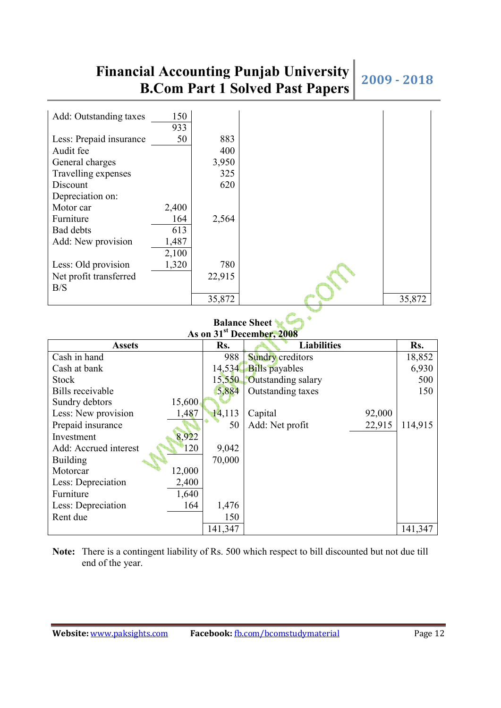| Add: Outstanding taxes  | 150<br>933 |        |        |
|-------------------------|------------|--------|--------|
| Less: Prepaid insurance | 50         | 883    |        |
| Audit fee               |            | 400    |        |
| General charges         |            | 3,950  |        |
| Travelling expenses     |            | 325    |        |
| Discount                |            | 620    |        |
| Depreciation on:        |            |        |        |
| Motor car               | 2,400      |        |        |
| Furniture               | 164        | 2,564  |        |
| Bad debts               | 613        |        |        |
| Add: New provision      | 1,487      |        |        |
|                         | 2,100      |        |        |
| Less: Old provision     | 1,320      | 780    |        |
| Net profit transferred  |            | 22,915 |        |
| B/S                     |            |        |        |
|                         |            | 35,872 | 35,872 |

#### **Balance Sheet As on 31st December, 2008**

|                              |         | $P$ coemper, $P$ over   |        |         |
|------------------------------|---------|-------------------------|--------|---------|
| <b>Assets</b>                | Rs.     | <b>Liabilities</b>      |        | Rs.     |
| Cash in hand                 | 988     | <b>Sundry</b> creditors |        | 18,852  |
| Cash at bank                 | 14,534  | <b>Bills</b> payables   |        | 6,930   |
| <b>Stock</b>                 | 15,550  | Outstanding salary      |        | 500     |
| <b>Bills</b> receivable      | 5,884   | Outstanding taxes       |        | 150     |
| Sundry debtors<br>15,600     |         |                         |        |         |
| Less: New provision<br>1,487 | 14,113  | Capital                 | 92,000 |         |
| Prepaid insurance            | 50      | Add: Net profit         | 22,915 | 114,915 |
| 8,922<br>Investment          |         |                         |        |         |
| Add: Accrued interest<br>120 | 9,042   |                         |        |         |
| Building                     | 70,000  |                         |        |         |
| 12,000<br>Motorcar           |         |                         |        |         |
| 2,400<br>Less: Depreciation  |         |                         |        |         |
| 1,640<br>Furniture           |         |                         |        |         |
| 164<br>Less: Depreciation    | 1,476   |                         |        |         |
| Rent due                     | 150     |                         |        |         |
|                              | 141,347 |                         |        | 141,347 |

**Note:** There is a contingent liability of Rs. 500 which respect to bill discounted but not due till end of the year.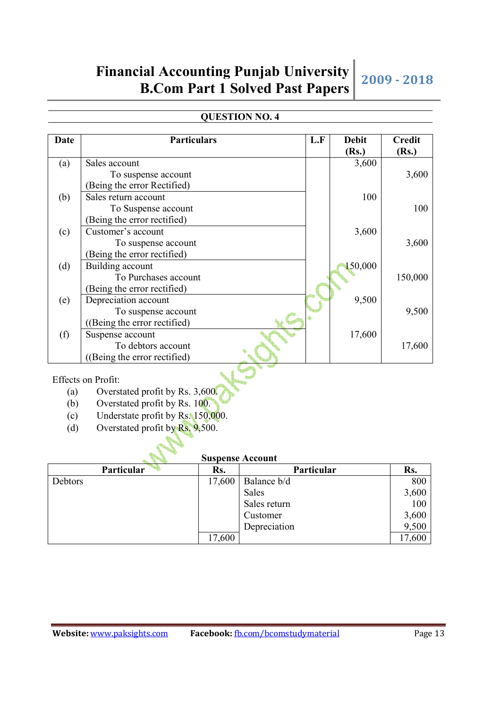### **QUESTION NO. 4**

| Date | <b>Particulars</b>          | L.F | <b>Debit</b> | <b>Credit</b> |
|------|-----------------------------|-----|--------------|---------------|
|      |                             |     | (Rs.)        | (Rs.)         |
| (a)  | Sales account               |     | 3,600        |               |
|      | To suspense account         |     |              | 3,600         |
|      | (Being the error Rectified) |     |              |               |
| (b)  | Sales return account        |     | 100          |               |
|      | To Suspense account         |     |              | 100           |
|      | (Being the error rectified) |     |              |               |
| (c)  | Customer's account          |     | 3,600        |               |
|      | To suspense account         |     |              | 3,600         |
|      | (Being the error rectified) |     |              |               |
| (d)  | Building account            |     | 150,000      |               |
|      | To Purchases account        |     |              | 150,000       |
|      | (Being the error rectified) |     |              |               |
| (e)  | Depreciation account        |     | 9,500        |               |
|      | To suspense account         |     |              | 9,500         |
|      | (Being the error rectified) |     |              |               |
| (f)  | Suspense account            |     | 17,600       |               |
|      | To debtors account          |     |              | 17,600        |
|      | (Being the error rectified) |     |              |               |

Effects on Profit:

- (a) Overstated profit by Rs. 3,600.
- (b) Overstated profit by Rs. 100.
- (c) Understate profit by Rs. 150,000.
- (d) Overstated profit by Rs. 9,500.

#### **Suspense Account**

| Particular | Rs.    | Particular   | Rs.    |
|------------|--------|--------------|--------|
| Debtors    | 17,600 | Balance b/d  | 800    |
|            |        | Sales        | 3,600  |
|            |        | Sales return | 100    |
|            |        | Customer     | 3,600  |
|            |        | Depreciation | 9,500  |
|            | 17,600 |              | 17,600 |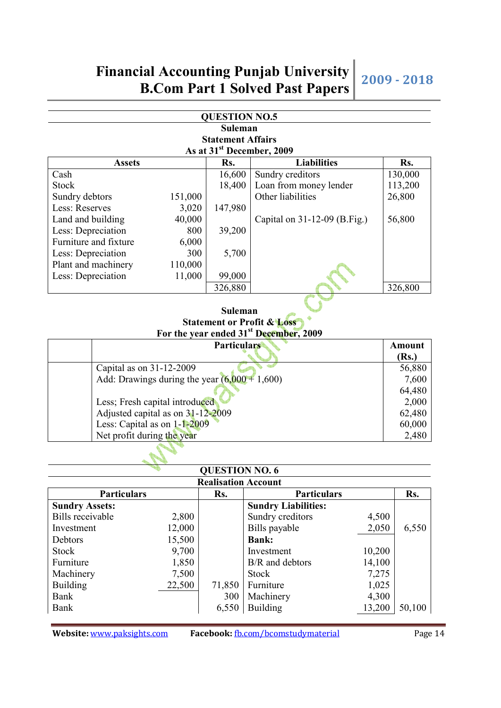#### **QUESTION NO.5 Suleman Statement Affairs As at 31st December, 2009**

| AS at 31<br>December, 2009 |         |         |                              |         |  |  |
|----------------------------|---------|---------|------------------------------|---------|--|--|
| <b>Assets</b>              |         | Rs.     | <b>Liabilities</b>           | Rs.     |  |  |
| Cash                       |         | 16,600  | Sundry creditors             | 130,000 |  |  |
| Stock                      |         | 18,400  | Loan from money lender       | 113,200 |  |  |
| Sundry debtors             | 151,000 |         | Other liabilities            | 26,800  |  |  |
| Less: Reserves             | 3,020   | 147,980 |                              |         |  |  |
| Land and building          | 40,000  |         | Capital on 31-12-09 (B.Fig.) | 56,800  |  |  |
| Less: Depreciation         | 800     | 39,200  |                              |         |  |  |
| Furniture and fixture      | 6,000   |         |                              |         |  |  |
| Less: Depreciation         | 300     | 5,700   |                              |         |  |  |
| Plant and machinery        | 110,000 |         |                              |         |  |  |
| Less: Depreciation         | 11,000  | 99,000  |                              |         |  |  |
|                            |         | 326,880 |                              | 326,800 |  |  |

#### **Suleman Statement or Profit & Loss For the year ended 31st December, 2009**

| <b>Particulars</b>                              | Amount |
|-------------------------------------------------|--------|
|                                                 | (Rs.)  |
| Capital as on 31-12-2009                        | 56,880 |
| Add: Drawings during the year $(6,000 + 1,600)$ | 7,600  |
|                                                 | 64,480 |
| Less; Fresh capital introduced                  | 2,000  |
| Adjusted capital as on 31-12-2009               | 62,480 |
| Less: Capital as on $1-1-2009$                  | 60,000 |
| Net profit during the year                      | 2,480  |

#### **QUESTION NO. 6 Realisation Account**  Particulars Rs. Rs. Particulars Rs. **Sundry Assets: Sundry Liabilities:** Bills receivable 2,800 Sundry creditors 4,500 Investment 12,000 | Bills payable 2,050 6,550 Debtors 15,500 **Bank:** Stock 9,700 Investment 10,200 Furniture  $1,850$  B/R and debtors 14,100 Machinery 7,500 71,850 Stock 7,275<br>Building 22,500 71,850 Furniture 1.025 Building 22,500 71,850 Furniture 1,025 Bank 300 Machinery 4,300 S0,100<br>Bank 5550 Building 13,200 50,100 Bank  $6,550$  Building

**Website:** www.paksights.com **Facebook:** fb.com/bcomstudymaterial Page 14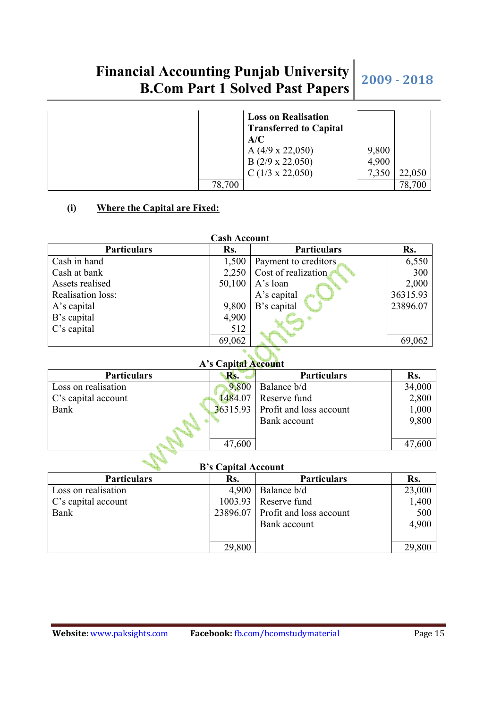|        | <b>Loss on Realisation</b><br><b>Transferred to Capital</b><br>A/C |                |        |
|--------|--------------------------------------------------------------------|----------------|--------|
|        | A $(4/9 \times 22,050)$<br>$B(2/9 \times 22,050)$                  | 9,800<br>4,900 |        |
|        | $C(1/3 \times 22,050)$                                             | 7,350          | 22,050 |
| 78,700 |                                                                    |                | 78,700 |

#### **(i) Where the Capital are Fixed:**

| <b>Cash Account</b> |        |                      |          |  |  |
|---------------------|--------|----------------------|----------|--|--|
| <b>Particulars</b>  | Rs.    | <b>Particulars</b>   | Rs.      |  |  |
| Cash in hand        | 1,500  | Payment to creditors | 6,550    |  |  |
| Cash at bank        | 2,250  | Cost of realization  | 300      |  |  |
| Assets realised     | 50,100 | A's loan             | 2,000    |  |  |
| Realisation loss:   |        | A's capital          | 36315.93 |  |  |
| A's capital         | 9,800  | B's capital          | 23896.07 |  |  |
| B's capital         | 4,900  |                      |          |  |  |
| C's capital         | 512    |                      |          |  |  |
|                     | 69,062 |                      | 69,062   |  |  |

#### **A's Capital Account**

| <b>Particulars</b>         | Rs.     | <b>Particulars</b>                 | Rs.    |
|----------------------------|---------|------------------------------------|--------|
| Loss on realisation        | 9,800   | Balance b/d                        | 34,000 |
| $\mid$ C's capital account | 1484.07 | Reserve fund                       | 2,800  |
| Bank                       |         | $36315.93$ Profit and loss account | 1,000  |
|                            |         | Bank account                       | 9,800  |
|                            | 47,600  |                                    | 47,600 |

### **B's Capital Account**

| <b>Particulars</b>  | Rs.    | <b>Particulars</b>               | Rs.    |
|---------------------|--------|----------------------------------|--------|
| Loss on realisation | 4,900  | Balance b/d                      | 23,000 |
| C's capital account |        | $1003.93$ Reserve fund           | 1,400  |
| Bank                |        | 23896.07 Profit and loss account | 500    |
|                     |        | Bank account                     | 4,900  |
|                     |        |                                  |        |
|                     | 29,800 |                                  | 29,800 |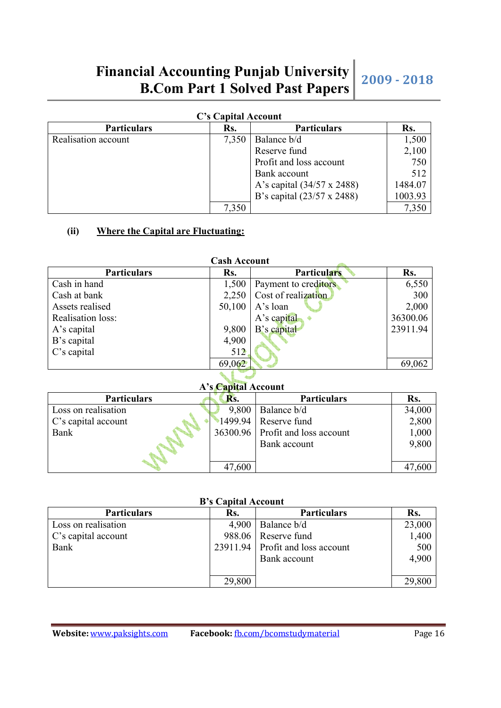| C's Capital Account |       |                            |         |  |
|---------------------|-------|----------------------------|---------|--|
| <b>Particulars</b>  | Rs.   | <b>Particulars</b>         | Rs.     |  |
| Realisation account | 7,350 | Balance b/d                | 1,500   |  |
|                     |       | Reserve fund               | 2,100   |  |
|                     |       | Profit and loss account    | 750     |  |
|                     |       | Bank account               | 512     |  |
|                     |       | A's capital (34/57 x 2488) | 1484.07 |  |
|                     |       | B's capital (23/57 x 2488) | 1003.93 |  |
|                     |       |                            | 7,350   |  |

#### **(ii) Where the Capital are Fluctuating:**

| <b>Cash Account</b> |        |                             |          |
|---------------------|--------|-----------------------------|----------|
| <b>Particulars</b>  | Rs.    | <b>Particulars</b>          | Rs.      |
| Cash in hand        | 1,500  | Payment to creditors        | 6,550    |
| Cash at bank        |        | $2,250$ Cost of realization | 300      |
| Assets realised     | 50,100 | A's loan                    | 2,000    |
| Realisation loss:   |        | A's capital                 | 36300.06 |
| A's capital         | 9,800  | B's capital                 | 23911.94 |
| B's capital         | 4,900  |                             |          |
| C's capital         | 512    |                             |          |
|                     | 69,062 |                             | 69,062   |

**A's Capital Account** 

| <b>Particulars</b>  | Ks.    | <b>Particulars</b>               | Rs.    |
|---------------------|--------|----------------------------------|--------|
| Loss on realisation |        | $9,800$   Balance b/d            | 34,000 |
| C's capital account |        | $1499.94$ Reserve fund           | 2,800  |
| Bank                |        | 36300.96 Profit and loss account | 1,000  |
|                     |        | Bank account                     | 9,800  |
|                     |        |                                  |        |
|                     | 47,600 |                                  |        |

#### **B's Capital Account**

| <u>s</u> s capital riccount |        |                                  |        |
|-----------------------------|--------|----------------------------------|--------|
| <b>Particulars</b>          | Rs.    | <b>Particulars</b>               | Rs.    |
| Loss on realisation         | 4,900  | Balance b/d                      | 23,000 |
| C's capital account         |        | 988.06 Reserve fund              | 1,400  |
| Bank                        |        | 23911.94 Profit and loss account | 500    |
|                             |        | Bank account                     | 4,900  |
|                             |        |                                  |        |
|                             | 29,800 |                                  | 29,800 |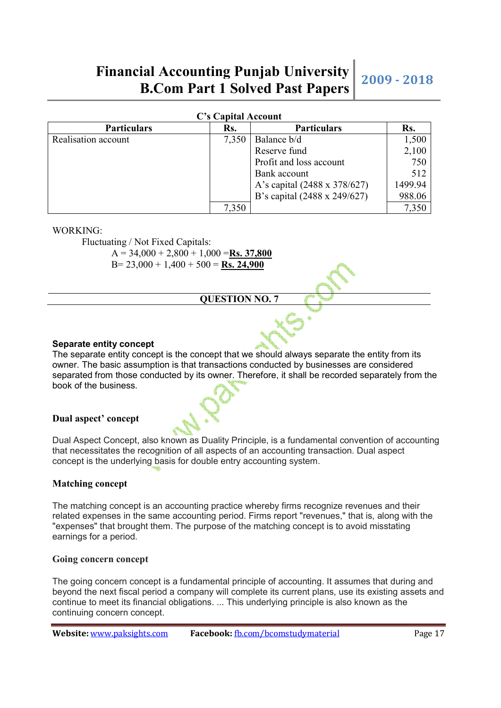|  |  | <b>C's Capital Account</b> |  |
|--|--|----------------------------|--|
|--|--|----------------------------|--|

| <b>Particulars</b>  | Rs.   | <b>Particulars</b>           | Rs.     |
|---------------------|-------|------------------------------|---------|
| Realisation account | 7,350 | Balance b/d                  | 1,500   |
|                     |       | Reserve fund                 | 2,100   |
|                     |       | Profit and loss account      | 750     |
|                     |       | Bank account                 | 512     |
|                     |       | A's capital (2488 x 378/627) | 1499.94 |
|                     |       | B's capital (2488 x 249/627) | 988.06  |
|                     | 7,350 |                              | 7,350   |

#### WORKING:

Fluctuating / Not Fixed Capitals:

A = 34,000 + 2,800 + 1,000 =**Rs. 37,800**

B= 23,000 + 1,400 + 500 = **Rs. 24,900**

**QUESTION NO. 7** 

#### **Separate entity concept**

The separate entity concept is the concept that we should always separate the entity from its owner. The basic assumption is that transactions conducted by businesses are considered separated from those conducted by its owner. Therefore, it shall be recorded separately from the book of the business.

#### **Dual aspect' concept**

Dual Aspect Concept, also known as Duality Principle, is a fundamental convention of accounting that necessitates the recognition of all aspects of an accounting transaction. Dual aspect concept is the underlying basis for double entry accounting system.

#### **Matching concept**

The matching concept is an accounting practice whereby firms recognize revenues and their related expenses in the same accounting period. Firms report "revenues," that is, along with the "expenses" that brought them. The purpose of the matching concept is to avoid misstating earnings for a period.

#### **Going concern concept**

The going concern concept is a fundamental principle of accounting. It assumes that during and beyond the next fiscal period a company will complete its current plans, use its existing assets and continue to meet its financial obligations. ... This underlying principle is also known as the continuing concern concept.